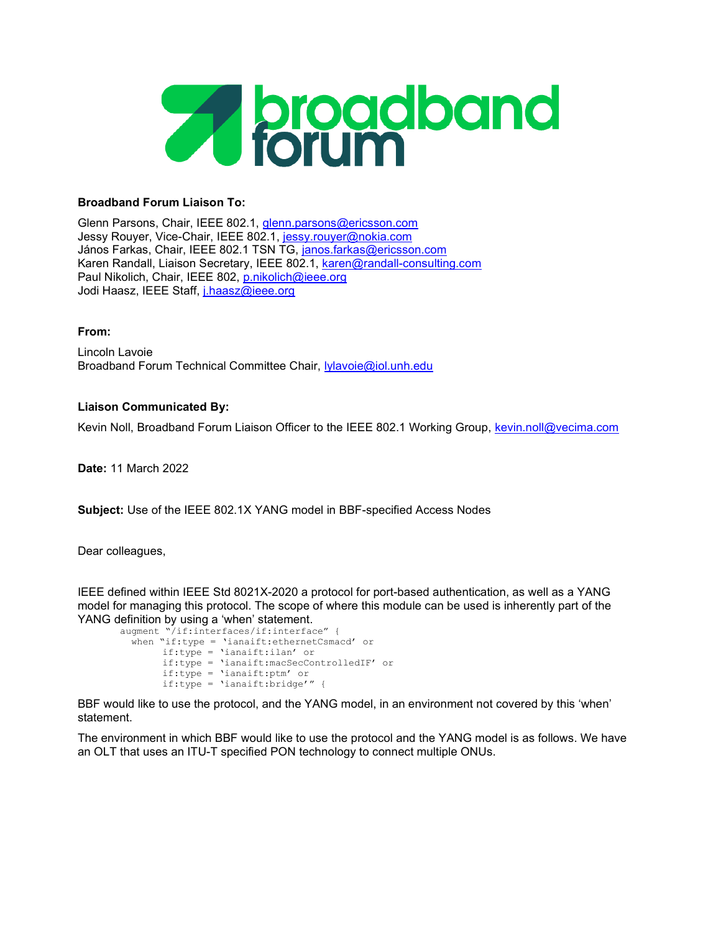

## Broadband Forum Liaison To:

Glenn Parsons, Chair, IEEE 802.1, glenn.parsons@ericsson.com Jessy Rouyer, Vice-Chair, IEEE 802.1, jessy.rouyer@nokia.com János Farkas, Chair, IEEE 802.1 TSN TG, janos.farkas@ericsson.com Karen Randall, Liaison Secretary, IEEE 802.1, karen@randall-consulting.com Paul Nikolich, Chair, IEEE 802, p.nikolich@ieee.org Jodi Haasz, IEEE Staff, j.haasz@ieee.org

## From:

Lincoln Lavoie Broadband Forum Technical Committee Chair, lylavoie@iol.unh.edu

## Liaison Communicated By:

Kevin Noll, Broadband Forum Liaison Officer to the IEEE 802.1 Working Group, kevin.noll@vecima.com

Date: 11 March 2022

Subject: Use of the IEEE 802.1X YANG model in BBF-specified Access Nodes

Dear colleagues,

IEEE defined within IEEE Std 8021X-2020 a protocol for port-based authentication, as well as a YANG model for managing this protocol. The scope of where this module can be used is inherently part of the YANG definition by using a 'when' statement.

```
augment "/if:interfaces/if:interface" { 
when "if:type = 'ianaift:ethernetCsmacd' or 
     if:type = 'ianaift:ilan' or 
     if:type = 'ianaift:macSecControlledIF' or 
     if:type = 'ianaift:ptm' or 
     if:type = 'ianaift:bridge'" {
```
BBF would like to use the protocol, and the YANG model, in an environment not covered by this 'when' statement.

The environment in which BBF would like to use the protocol and the YANG model is as follows. We have an OLT that uses an ITU-T specified PON technology to connect multiple ONUs.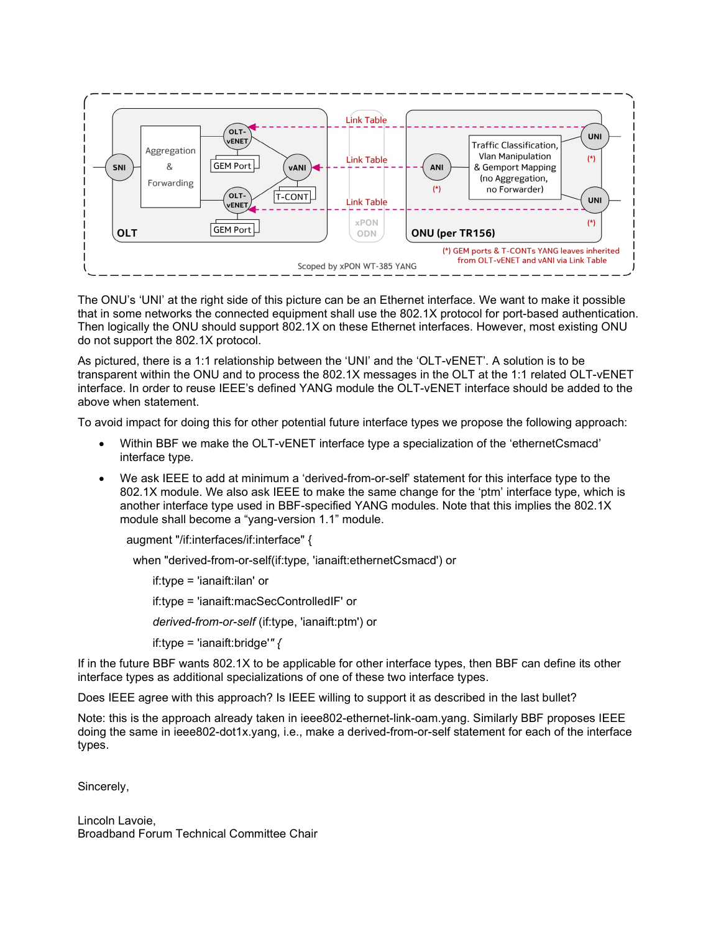

The ONU's 'UNI' at the right side of this picture can be an Ethernet interface. We want to make it possible that in some networks the connected equipment shall use the 802.1X protocol for port-based authentication. Then logically the ONU should support 802.1X on these Ethernet interfaces. However, most existing ONU do not support the 802.1X protocol.

As pictured, there is a 1:1 relationship between the 'UNI' and the 'OLT-vENET'. A solution is to be transparent within the ONU and to process the 802.1X messages in the OLT at the 1:1 related OLT-vENET interface. In order to reuse IEEE's defined YANG module the OLT-vENET interface should be added to the above when statement.

To avoid impact for doing this for other potential future interface types we propose the following approach:

- Within BBF we make the OLT-vENET interface type a specialization of the 'ethernetCsmacd' interface type.
- We ask IEEE to add at minimum a 'derived-from-or-self' statement for this interface type to the 802.1X module. We also ask IEEE to make the same change for the 'ptm' interface type, which is another interface type used in BBF-specified YANG modules. Note that this implies the 802.1X module shall become a "yang-version 1.1" module.

augment "/if:interfaces/if:interface" {

when "derived-from-or-self(if:type, 'ianaift:ethernetCsmacd') or

 if:type = 'ianaift:ilan' or if:type = 'ianaift:macSecControlledIF' or derived-from-or-self (if:type, 'ianaift:ptm') or if:type = 'ianaift:bridge'"  $\{$ 

If in the future BBF wants 802.1X to be applicable for other interface types, then BBF can define its other interface types as additional specializations of one of these two interface types.

Does IEEE agree with this approach? Is IEEE willing to support it as described in the last bullet?

Note: this is the approach already taken in ieee802-ethernet-link-oam.yang. Similarly BBF proposes IEEE doing the same in ieee802-dot1x.yang, i.e., make a derived-from-or-self statement for each of the interface types.

Sincerely,

Lincoln Lavoie, Broadband Forum Technical Committee Chair